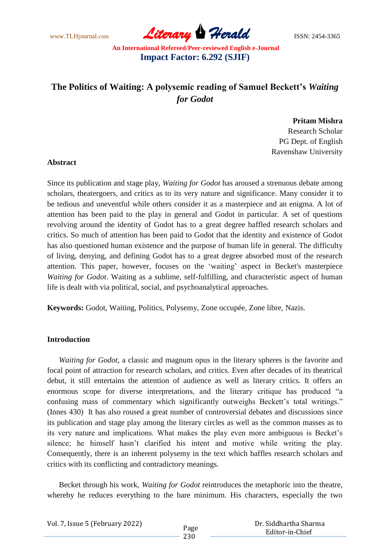www.TLHjournal.com **Literary Herald Herald ISSN: 2454-3365** 

# **The Politics of Waiting: A polysemic reading of Samuel Beckett's** *Waiting for Godot*

### **Pritam Mishra**

Research Scholar PG Dept. of English Ravenshaw University

#### **Abstract**

Since its publication and stage play, *Waiting for Godot* has aroused a strenuous debate among scholars, theatergoers, and critics as to its very nature and significance. Many consider it to be tedious and uneventful while others consider it as a masterpiece and an enigma. A lot of attention has been paid to the play in general and Godot in particular. A set of questions revolving around the identity of Godot has to a great degree baffled research scholars and critics. So much of attention has been paid to Godot that the identity and existence of Godot has also questioned human existence and the purpose of human life in general. The difficulty of living, denying, and defining Godot has to a great degree absorbed most of the research attention. This paper, however, focuses on the 'waiting' aspect in Becket's masterpiece *Waiting for Godot*. Waiting as a sublime, self-fulfilling, and characteristic aspect of human life is dealt with via political, social, and psychoanalytical approaches.

**Keywords:** Godot, Waiting, Politics, Polysemy, Zone occupée, Zone libre, Nazis.

### **Introduction**

*Waiting for Godot,* a classic and magnum opus in the literary spheres is the favorite and focal point of attraction for research scholars, and critics. Even after decades of its theatrical debut, it still entertains the attention of audience as well as literary critics. It offers an enormous scope for diverse interpretations, and the literary critique has produced "a confusing mass of commentary which significantly outweighs Beckett's total writings." (Innes 430) It has also roused a great number of controversial debates and discussions since its publication and stage play among the literary circles as well as the common masses as to its very nature and implications. What makes the play even more ambiguous is Becket's silence; he himself hasn't clarified his intent and motive while writing the play. Consequently, there is an inherent polysemy in the text which baffles research scholars and critics with its conflicting and contradictory meanings.

Becket through his work, *Waiting for Godot* reintroduces the metaphoric into the theatre, whereby he reduces everything to the bare minimum. His characters, especially the two

| Vol. 7, Issue 5 (February 2022) |      | Dr. Siddhartha Sharma |
|---------------------------------|------|-----------------------|
|                                 | Page | Editor-in-Chief       |
|                                 | 230  |                       |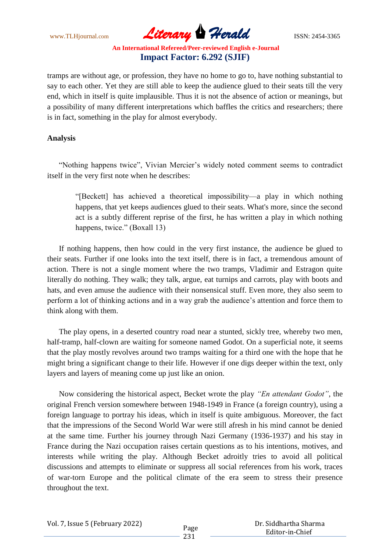www.TLHjournal.com **Literary Herald ISSN: 2454-3365** 

tramps are without age, or profession, they have no home to go to, have nothing substantial to say to each other. Yet they are still able to keep the audience glued to their seats till the very end, which in itself is quite implausible. Thus it is not the absence of action or meanings, but a possibility of many different interpretations which baffles the critics and researchers; there is in fact, something in the play for almost everybody.

### **Analysis**

―Nothing happens twice‖, Vivian Mercier's widely noted comment seems to contradict itself in the very first note when he describes:

―[Beckett] has achieved a theoretical impossibility—a play in which nothing happens, that yet keeps audiences glued to their seats. What's more, since the second act is a subtly different reprise of the first, he has written a play in which nothing happens, twice." (Boxall 13)

If nothing happens, then how could in the very first instance, the audience be glued to their seats. Further if one looks into the text itself, there is in fact, a tremendous amount of action. There is not a single moment where the two tramps, Vladimir and Estragon quite literally do nothing. They walk; they talk, argue, eat turnips and carrots, play with boots and hats, and even amuse the audience with their nonsensical stuff. Even more, they also seem to perform a lot of thinking actions and in a way grab the audience's attention and force them to think along with them.

The play opens, in a deserted country road near a stunted, sickly tree, whereby two men, half-tramp, half-clown are waiting for someone named Godot. On a superficial note, it seems that the play mostly revolves around two tramps waiting for a third one with the hope that he might bring a significant change to their life. However if one digs deeper within the text, only layers and layers of meaning come up just like an onion.

Now considering the historical aspect, Becket wrote the play *"En attendant Godot"*, the original French version somewhere between 1948-1949 in France (a foreign country), using a foreign language to portray his ideas, which in itself is quite ambiguous. Moreover, the fact that the impressions of the Second World War were still afresh in his mind cannot be denied at the same time. Further his journey through Nazi Germany (1936-1937) and his stay in France during the Nazi occupation raises certain questions as to his intentions, motives, and interests while writing the play. Although Becket adroitly tries to avoid all political discussions and attempts to eliminate or suppress all social references from his work, traces of war-torn Europe and the political climate of the era seem to stress their presence throughout the text.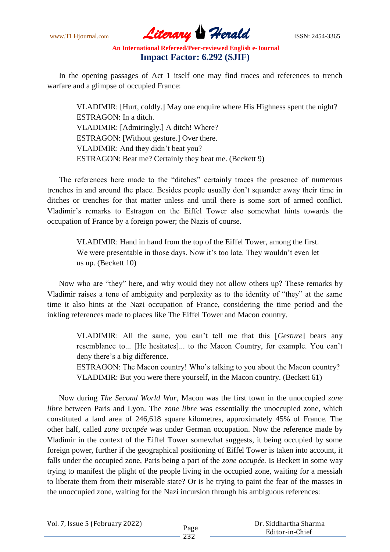www.TLHjournal.com **Literary Herald ISSN: 2454-3365** 

In the opening passages of Act 1 itself one may find traces and references to trench warfare and a glimpse of occupied France:

VLADIMIR: [Hurt, coldly.] May one enquire where His Highness spent the night? ESTRAGON: In a ditch. VLADIMIR: [Admiringly.] A ditch! Where? ESTRAGON: [Without gesture.] Over there. VLADIMIR: And they didn't beat you? ESTRAGON: Beat me? Certainly they beat me. (Beckett 9)

The references here made to the "ditches" certainly traces the presence of numerous trenches in and around the place. Besides people usually don't squander away their time in ditches or trenches for that matter unless and until there is some sort of armed conflict. Vladimir's remarks to Estragon on the Eiffel Tower also somewhat hints towards the occupation of France by a foreign power; the Nazis of course.

VLADIMIR: Hand in hand from the top of the Eiffel Tower, among the first. We were presentable in those days. Now it's too late. They wouldn't even let us up. (Beckett 10)

Now who are "they" here, and why would they not allow others up? These remarks by Vladimir raises a tone of ambiguity and perplexity as to the identity of "they" at the same time it also hints at the Nazi occupation of France, considering the time period and the inkling references made to places like The Eiffel Tower and Macon country.

VLADIMIR: All the same, you can't tell me that this [*Gesture*] bears any resemblance to... [He hesitates]... to the Macon Country, for example. You can't deny there's a big difference.

ESTRAGON: The Macon country! Who's talking to you about the Macon country? VLADIMIR: But you were there yourself, in the Macon country. (Beckett 61)

Now during *The Second World War*, Macon was the first town in the unoccupied *zone libre* between Paris and Lyon. The *zone libre* was essentially the unoccupied zone, which constituted a land area of 246,618 square kilometres, approximately 45% of France. The other half, called *zone occupée* was under German occupation. Now the reference made by Vladimir in the context of the Eiffel Tower somewhat suggests, it being occupied by some foreign power, further if the geographical positioning of Eiffel Tower is taken into account, it falls under the occupied zone, Paris being a part of the *zone occupée.* Is Beckett in some way trying to manifest the plight of the people living in the occupied zone, waiting for a messiah to liberate them from their miserable state? Or is he trying to paint the fear of the masses in the unoccupied zone, waiting for the Nazi incursion through his ambiguous references: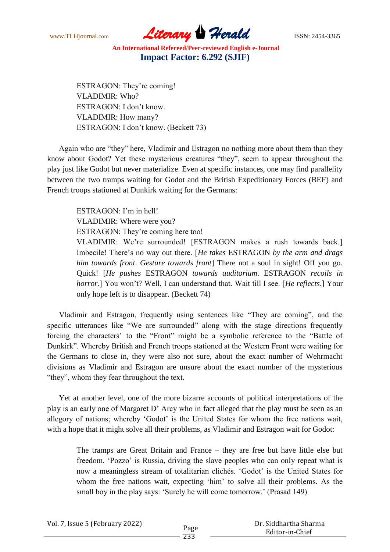www.TLHjournal.com *Literary Herald*ISSN: 2454-3365

ESTRAGON: They're coming! VLADIMIR: Who? ESTRAGON: I don't know. VLADIMIR: How many? ESTRAGON: I don't know. (Beckett 73)

Again who are "they" here, Vladimir and Estragon no nothing more about them than they know about Godot? Yet these mysterious creatures "they", seem to appear throughout the play just like Godot but never materialize. Even at specific instances, one may find parallelity between the two tramps waiting for Godot and the British Expeditionary Forces (BEF) and French troops stationed at Dunkirk waiting for the Germans:

ESTRAGON: I'm in hell! VLADIMIR: Where were you? ESTRAGON: They're coming here too!

VLADIMIR: We're surrounded! [ESTRAGON makes a rush towards back.] Imbecile! There's no way out there. [*He takes* ESTRAGON *by the arm and drags him towards front*. *Gesture towards front*] There not a soul in sight! Off you go. Quick! [*He pushes* ESTRAGON *towards auditorium*. ESTRAGON *recoils in horror*.] You won't? Well, I can understand that. Wait till I see. [*He reflects*.] Your only hope left is to disappear. (Beckett 74)

Vladimir and Estragon, frequently using sentences like "They are coming", and the specific utterances like "We are surrounded" along with the stage directions frequently forcing the characters' to the "Front" might be a symbolic reference to the "Battle of Dunkirk". Whereby British and French troops stationed at the Western Front were waiting for the Germans to close in, they were also not sure, about the exact number of Wehrmacht divisions as Vladimir and Estragon are unsure about the exact number of the mysterious "they", whom they fear throughout the text.

Yet at another level, one of the more bizarre accounts of political interpretations of the play is an early one of Margaret D' Arcy who in fact alleged that the play must be seen as an allegory of nations; whereby 'Godot' is the United States for whom the free nations wait, with a hope that it might solve all their problems, as Vladimir and Estragon wait for Godot:

The tramps are Great Britain and France – they are free but have little else but freedom. ‗Pozzo' is Russia, driving the slave peoples who can only repeat what is now a meaningless stream of totalitarian clichés. 'Godot' is the United States for whom the free nations wait, expecting 'him' to solve all their problems. As the small boy in the play says: 'Surely he will come tomorrow.' (Prasad 149)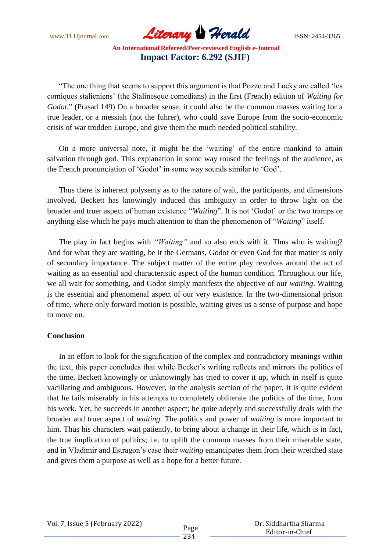www.TLHjournal.com *Literary Herald*ISSN: 2454-3365

"The one thing that seems to support this argument is that Pozzo and Lucky are called 'les comiques stalieniens' (the Stalinesque comedians) in the first (French) edition of *Waiting for*  Godot." (Prasad 149) On a broader sense, it could also be the common masses waiting for a true leader, or a messiah (not the fuhrer), who could save Europe from the socio-economic crisis of war trodden Europe, and give them the much needed political stability.

On a more universal note, it might be the 'waiting' of the entire mankind to attain salvation through god. This explanation in some way roused the feelings of the audience, as the French pronunciation of 'Godot' in some way sounds similar to 'God'.

Thus there is inherent polysemy as to the nature of wait, the participants, and dimensions involved. Beckett has knowingly induced this ambiguity in order to throw light on the broader and truer aspect of human existence "*Waiting*". It is not 'Godot' or the two tramps or anything else which he pays much attention to than the phenomenon of "*Waiting*" itself.

The play in fact begins with *"Waiting"* and so also ends with it. Thus who is waiting? And for what they are waiting, be it the Germans, Godot or even God for that matter is only of secondary importance. The subject matter of the entire play revolves around the act of waiting as an essential and characteristic aspect of the human condition. Throughout our life, we all wait for something, and Godot simply manifests the objective of our *waiting*. Waiting is the essential and phenomenal aspect of our very existence. In the two-dimensional prison of time, where only forward motion is possible, waiting gives us a sense of purpose and hope to move on.

#### **Conclusion**

In an effort to look for the signification of the complex and contradictory meanings within the text, this paper concludes that while Becket's writing reflects and mirrors the politics of the time. Beckett knowingly or unknowingly has tried to cover it up, which in itself is quite vacillating and ambiguous. However, in the analysis section of the paper, it is quite evident that he fails miserably in his attempts to completely obliterate the politics of the time, from his work. Yet, he succeeds in another aspect; he quite adeptly and successfully deals with the broader and truer aspect of *waiting*. The politics and power of *waiting* is more important to him. Thus his characters wait patiently, to bring about a change in their life, which is in fact, the true implication of politics; i.e. to uplift the common masses from their miserable state, and in Vladimir and Estragon's case their *waiting* emancipates them from their wretched state and gives them a purpose as well as a hope for a better future.